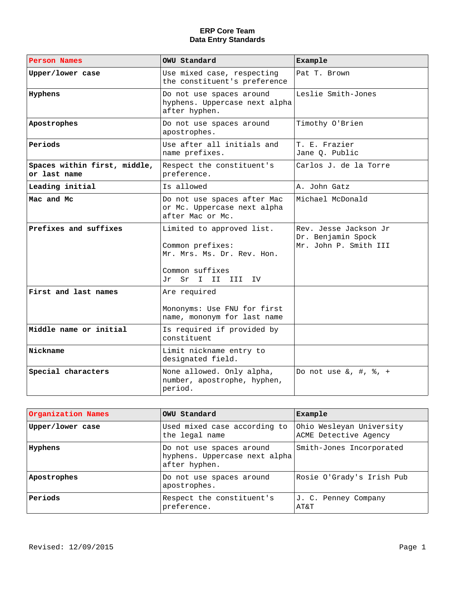| <b>Person Names</b>                          | <b>OWU Standard</b>                                                                                                 | <b>Example</b>                                                       |
|----------------------------------------------|---------------------------------------------------------------------------------------------------------------------|----------------------------------------------------------------------|
| Upper/lower case                             | Use mixed case, respecting<br>the constituent's preference                                                          | Pat T. Brown                                                         |
| <b>Hyphens</b>                               | Do not use spaces around<br>hyphens. Uppercase next alpha<br>after hyphen.                                          | Leslie Smith-Jones                                                   |
| Apostrophes                                  | Do not use spaces around<br>apostrophes.                                                                            | Timothy O'Brien                                                      |
| Periods                                      | Use after all initials and<br>name prefixes.                                                                        | T. E. Frazier<br>Jane Q. Public                                      |
| Spaces within first, middle,<br>or last name | Respect the constituent's<br>preference.                                                                            | Carlos J. de la Torre                                                |
| Leading initial                              | Is allowed                                                                                                          | A. John Gatz                                                         |
| Mac and Mc                                   | Do not use spaces after Mac<br>or Mc. Uppercase next alpha<br>after Mac or Mc.                                      | Michael McDonald                                                     |
| Prefixes and suffixes                        | Limited to approved list.<br>Common prefixes:<br>Mr. Mrs. Ms. Dr. Rev. Hon.<br>Common suffixes<br>Jr Sr I II III IV | Rev. Jesse Jackson Jr<br>Dr. Benjamin Spock<br>Mr. John P. Smith III |
| <b>First and last names</b>                  | Are required<br>Mononyms: Use FNU for first<br>name, mononym for last name                                          |                                                                      |
| Middle name or initial                       | Is required if provided by<br>constituent                                                                           |                                                                      |
| <b>Nickname</b>                              | Limit nickname entry to<br>designated field.                                                                        |                                                                      |
| Special characters                           | None allowed. Only alpha,<br>number, apostrophe, hyphen,<br>period.                                                 | Do not use $\&$ , $\#$ , $\%$ , $+$                                  |

| <b>Organization Names</b> | <b>OWU Standard</b>                                                        | Example                                           |
|---------------------------|----------------------------------------------------------------------------|---------------------------------------------------|
| Upper/lower case          | Used mixed case according to<br>the legal name                             | Ohio Wesleyan University<br>ACME Detective Agency |
| Hyphens                   | Do not use spaces around<br>hyphens. Uppercase next alpha<br>after hyphen. | Smith-Jones Incorporated                          |
| Apostrophes               | Do not use spaces around<br>apostrophes.                                   | Rosie O'Grady's Irish Pub                         |
| Periods                   | Respect the constituent's<br>preference.                                   | J. C. Penney Company<br>AT&T                      |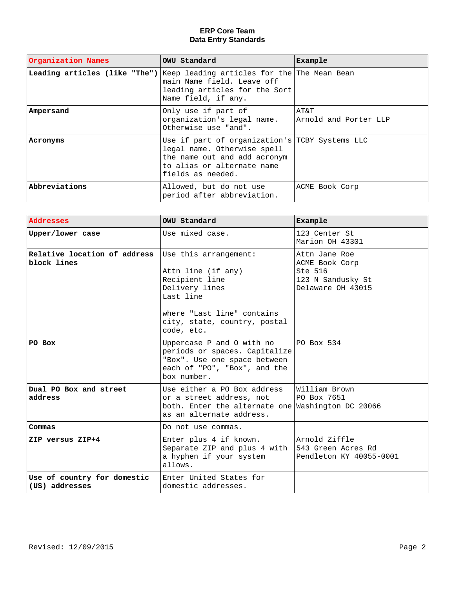| <b>Organization Names</b>     | <b>OWU Standard</b>                                                                                                                                              | Example                       |
|-------------------------------|------------------------------------------------------------------------------------------------------------------------------------------------------------------|-------------------------------|
| Leading articles (like "The") | Keep leading articles for the The Mean Bean<br>main Name field. Leave off<br>leading articles for the Sort<br>Name field, if any.                                |                               |
| <b>Ampersand</b>              | Only use if part of<br>organization's legal name.<br>Otherwise use "and".                                                                                        | AT&T<br>Arnold and Porter LLP |
| <b>Acronyms</b>               | Use if part of organization's TCBY Systems LLC<br>legal name. Otherwise spell<br>the name out and add acronym<br>to alias or alternate name<br>fields as needed. |                               |
| Abbreviations                 | Allowed, but do not use<br>period after abbreviation.                                                                                                            | ACME Book Corp                |

| <b>Addresses</b>                              | <b>OWU Standard</b>                                                                                                                                                      | Example                                                                              |
|-----------------------------------------------|--------------------------------------------------------------------------------------------------------------------------------------------------------------------------|--------------------------------------------------------------------------------------|
| Upper/lower case                              | Use mixed case.                                                                                                                                                          | 123 Center St<br>Marion OH 43301                                                     |
| Relative location of address<br>block lines   | Use this arrangement:<br>Attn line (if any)<br>Recipient line<br>Delivery lines<br>Last line<br>where "Last line" contains<br>city, state, country, postal<br>code, etc. | Attn Jane Roe<br>ACME Book Corp<br>Ste 516<br>123 N Sandusky St<br>Delaware OH 43015 |
| PO Box                                        | Uppercase P and O with no<br>periods or spaces. Capitalize<br>"Box". Use one space between<br>each of "PO", "Box", and the<br>box number.                                | PO Box 534                                                                           |
| Dual PO Box and street<br>address             | Use either a PO Box address<br>or a street address, not<br>both. Enter the alternate one Washington DC 20066<br>as an alternate address.                                 | William Brown<br>PO Box 7651                                                         |
| <b>Commas</b>                                 | Do not use commas.                                                                                                                                                       |                                                                                      |
| ZIP versus ZIP+4                              | Enter plus 4 if known.<br>Separate ZIP and plus 4 with $ 543$ Green Acres Rd<br>a hyphen if your system<br>allows.                                                       | Arnold Ziffle<br>Pendleton KY 40055-0001                                             |
| Use of country for domestic<br>(US) addresses | Enter United States for<br>domestic addresses.                                                                                                                           |                                                                                      |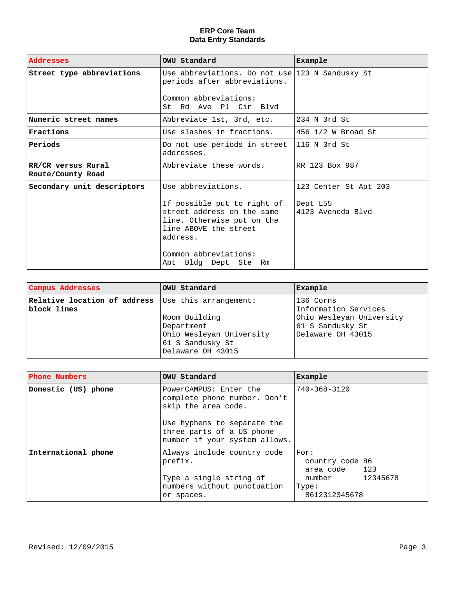| <b>Addresses</b>                               | <b>OWU Standard</b>                                                                                                                                                                                    | <b>Example</b>                                         |
|------------------------------------------------|--------------------------------------------------------------------------------------------------------------------------------------------------------------------------------------------------------|--------------------------------------------------------|
| Street type abbreviations                      | Use abbreviations. Do not use $123$ N Sandusky St<br>periods after abbreviations.<br>Common abbreviations:<br>St Rd Ave Pl Cir Blvd                                                                    |                                                        |
| Numeric street names                           | Abbreviate 1st, 3rd, etc.                                                                                                                                                                              | 234 N 3rd St                                           |
| <b>Fractions</b>                               | Use slashes in fractions.                                                                                                                                                                              | 456 1/2 W Broad St                                     |
| Periods                                        | Do not use periods in street<br>addresses.                                                                                                                                                             | $ 116 N$ 3rd St                                        |
| <b>RR/CR versus Rural</b><br>Route/County Road | Abbreviate these words.                                                                                                                                                                                | RR 123 Box 987                                         |
| Secondary unit descriptors                     | Use abbreviations.<br>If possible put to right of<br>street address on the same<br>line. Otherwise put on the<br>line ABOVE the street<br>address.<br>Common abbreviations:<br>Apt Bldg Dept Ste<br>Rm | 123 Center St Apt 203<br>Dept L55<br>4123 Aveneda Blvd |

| <b>Campus Addresses</b>                                                  | OWU Standard                                                                                     | Example                                                                                                |
|--------------------------------------------------------------------------|--------------------------------------------------------------------------------------------------|--------------------------------------------------------------------------------------------------------|
| <b>Relative location of address</b> Use this arrangement:<br>block lines | Room Building<br>Department<br>Ohio Wesleyan University<br>61 S Sandusky St<br>Delaware OH 43015 | 136 Corns<br>Information Services<br>Ohio Wesleyan University<br>61 S Sandusky St<br>Delaware OH 43015 |

| <b>Phone Numbers</b> | <b>OWU Standard</b>                                                                                                                                                        | Example                                                                               |
|----------------------|----------------------------------------------------------------------------------------------------------------------------------------------------------------------------|---------------------------------------------------------------------------------------|
| Domestic (US) phone  | PowerCAMPUS: Enter the<br>complete phone number. Don't<br>skip the area code.<br>Use hyphens to separate the<br>three parts of a US phone<br>number if your system allows. | 740-368-3120                                                                          |
| International phone  | Always include country code<br>prefix.<br>Type a single string of<br>numbers without punctuation<br>or spaces.                                                             | For:<br>country code 86<br>area code 123<br>number 12345678<br>Type:<br>8612312345678 |